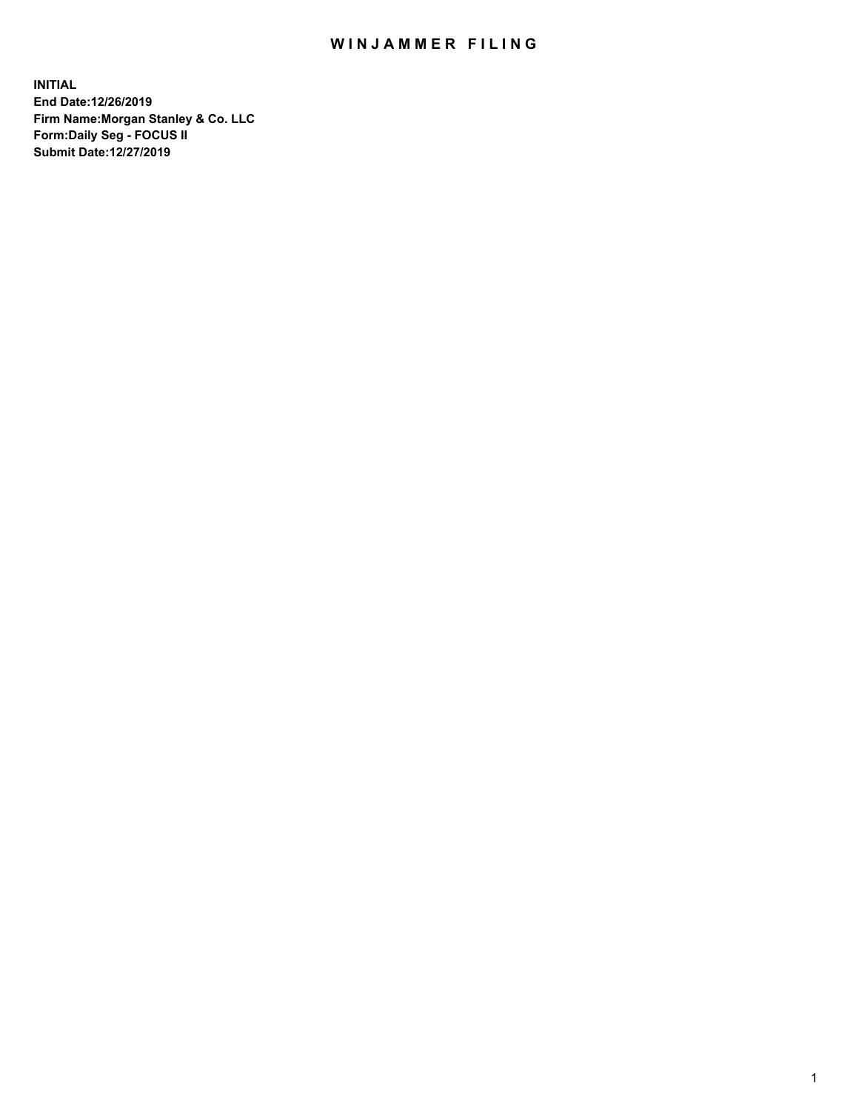## WIN JAMMER FILING

**INITIAL End Date:12/26/2019 Firm Name:Morgan Stanley & Co. LLC Form:Daily Seg - FOCUS II Submit Date:12/27/2019**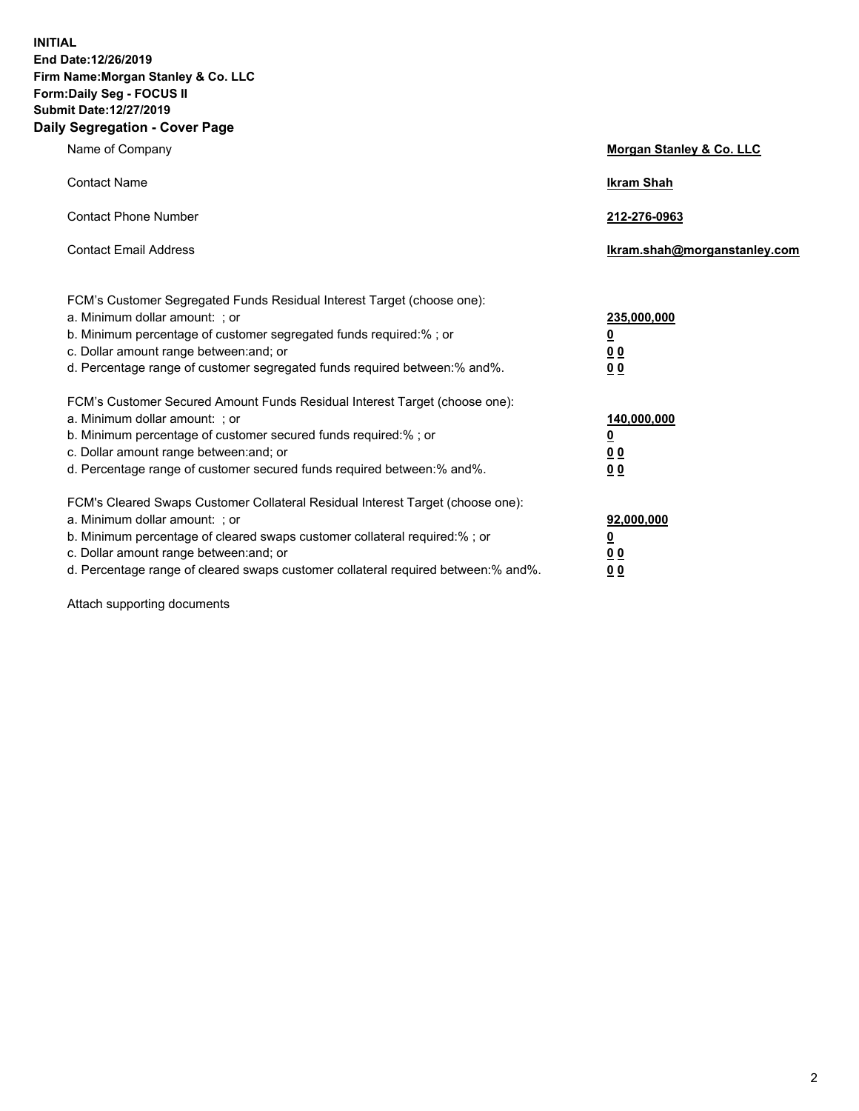**INITIAL End Date:12/26/2019 Firm Name:Morgan Stanley & Co. LLC Form:Daily Seg - FOCUS II Submit Date:12/27/2019 Daily Segregation - Cover Page**

| Name of Company                                                                                                                                                                                                                                                                                                                | Morgan Stanley & Co. LLC                               |
|--------------------------------------------------------------------------------------------------------------------------------------------------------------------------------------------------------------------------------------------------------------------------------------------------------------------------------|--------------------------------------------------------|
| <b>Contact Name</b>                                                                                                                                                                                                                                                                                                            | <b>Ikram Shah</b>                                      |
| <b>Contact Phone Number</b>                                                                                                                                                                                                                                                                                                    | 212-276-0963                                           |
| <b>Contact Email Address</b>                                                                                                                                                                                                                                                                                                   | Ikram.shah@morganstanley.com                           |
| FCM's Customer Segregated Funds Residual Interest Target (choose one):<br>a. Minimum dollar amount: : or<br>b. Minimum percentage of customer segregated funds required:% ; or<br>c. Dollar amount range between: and; or<br>d. Percentage range of customer segregated funds required between:% and%.                         | 235,000,000<br><u>0</u><br>0 <sup>0</sup><br><u>00</u> |
| FCM's Customer Secured Amount Funds Residual Interest Target (choose one):<br>a. Minimum dollar amount: ; or<br>b. Minimum percentage of customer secured funds required:%; or<br>c. Dollar amount range between: and; or<br>d. Percentage range of customer secured funds required between:% and%.                            | 140,000,000<br><u>0</u><br><u>00</u><br>0 <sub>0</sub> |
| FCM's Cleared Swaps Customer Collateral Residual Interest Target (choose one):<br>a. Minimum dollar amount: ; or<br>b. Minimum percentage of cleared swaps customer collateral required:% ; or<br>c. Dollar amount range between: and; or<br>d. Percentage range of cleared swaps customer collateral required between:% and%. | 92,000,000<br><u>0</u><br><u>00</u><br>0 <sub>0</sub>  |

Attach supporting documents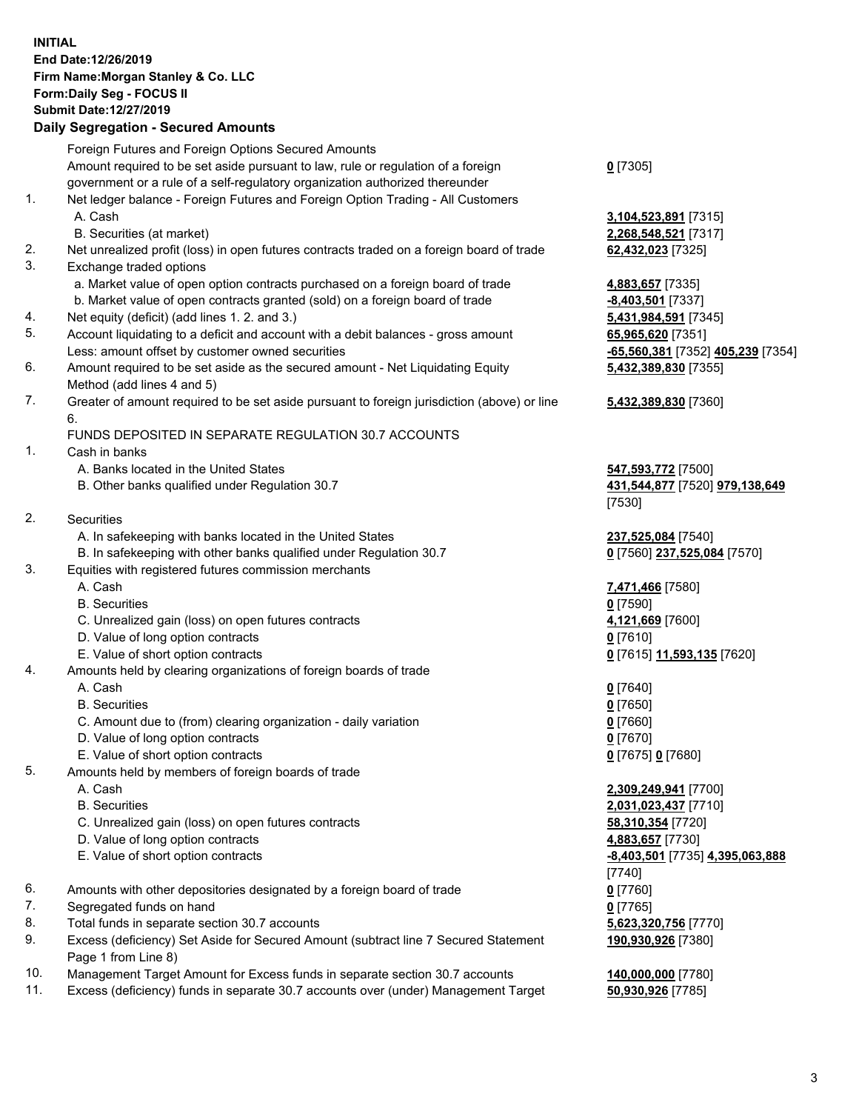## **INITIAL End Date:12/26/2019 Firm Name:Morgan Stanley & Co. LLC Form:Daily Seg - FOCUS II Submit Date:12/27/2019**

## **Daily Segregation - Secured Amounts**

|    | Foreign Futures and Foreign Options Secured Amounts                                         |                    |
|----|---------------------------------------------------------------------------------------------|--------------------|
|    | Amount required to be set aside pursuant to law, rule or regulation of a foreign            | $0$ [7305]         |
|    | government or a rule of a self-regulatory organization authorized thereunder                |                    |
| 1. | Net ledger balance - Foreign Futures and Foreign Option Trading - All Customers             |                    |
|    | A. Cash                                                                                     | 3,104,523,891 [73  |
|    | B. Securities (at market)                                                                   | 2,268,548,521 [73  |
| 2. | Net unrealized profit (loss) in open futures contracts traded on a foreign board of trade   | 62,432,023 [7325]  |
| 3. | Exchange traded options                                                                     |                    |
|    | a. Market value of open option contracts purchased on a foreign board of trade              | 4,883,657 [7335]   |
|    | b. Market value of open contracts granted (sold) on a foreign board of trade                | -8,403,501 [7337]  |
| 4. | Net equity (deficit) (add lines 1.2. and 3.)                                                | 5,431,984,591 [73  |
| 5. | Account liquidating to a deficit and account with a debit balances - gross amount           | 65,965,620 [7351]  |
|    | Less: amount offset by customer owned securities                                            | -65,560,381 [7352  |
| 6. | Amount required to be set aside as the secured amount - Net Liquidating Equity              | 5,432,389,830 [73  |
|    | Method (add lines 4 and 5)                                                                  |                    |
| 7. | Greater of amount required to be set aside pursuant to foreign jurisdiction (above) or line | 5,432,389,830 [73  |
|    | 6.                                                                                          |                    |
|    | FUNDS DEPOSITED IN SEPARATE REGULATION 30.7 ACCOUNTS                                        |                    |
| 1. | Cash in banks                                                                               |                    |
|    | A. Banks located in the United States                                                       | 547,593,772 [7500  |
|    | B. Other banks qualified under Regulation 30.7                                              | 431,544,877 [7520  |
|    |                                                                                             | [7530]             |
| 2. | Securities                                                                                  |                    |
|    | A. In safekeeping with banks located in the United States                                   | 237,525,084 [7540  |
|    | B. In safekeeping with other banks qualified under Regulation 30.7                          | 0 [7560] 237,525,  |
| 3. | Equities with registered futures commission merchants                                       |                    |
|    | A. Cash                                                                                     | 7,471,466 [7580]   |
|    | <b>B.</b> Securities                                                                        | $0$ [7590]         |
|    | C. Unrealized gain (loss) on open futures contracts                                         | 4,121,669 [7600]   |
|    | D. Value of long option contracts                                                           | $0$ [7610]         |
|    | E. Value of short option contracts                                                          | 0 [7615] 11,593,1: |
| 4. | Amounts held by clearing organizations of foreign boards of trade                           |                    |
|    | A. Cash                                                                                     | $0$ [7640]         |
|    | <b>B.</b> Securities                                                                        | $0$ [7650]         |
|    | C. Amount due to (from) clearing organization - daily variation                             | $0$ [7660]         |
|    | D. Value of long option contracts                                                           | $0$ [7670]         |
|    | E. Value of short option contracts                                                          | 0 [7675] 0 [7680]  |
| 5. | Amounts held by members of foreign boards of trade                                          |                    |
|    | A. Cash                                                                                     | 2,309,249,941 [77  |
|    | <b>B.</b> Securities                                                                        | 2,031,023,437 [77  |
|    | C. Unrealized gain (loss) on open futures contracts                                         | 58,310,354 [7720]  |
|    | D. Value of long option contracts                                                           | 4,883,657 [7730]   |
|    | E. Value of short option contracts                                                          | -8,403,501 [7735]  |
|    |                                                                                             | [7740]             |
| 6. | Amounts with other depositories designated by a foreign board of trade                      | $0$ [7760]         |
| 7. | Segregated funds on hand                                                                    | $0$ [7765]         |
| 8. | Total funds in separate section 30.7 accounts                                               | 5,623,320,756 [77  |
| 9. | Excess (deficiency) Set Aside for Secured Amount (subtract line 7 Secured Statement         | 190,930,926 [7380  |
|    | Page 1 from Line 8)                                                                         |                    |
|    |                                                                                             |                    |

- 10. Management Target Amount for Excess funds in separate section 30.7 accounts **140,000,000** [7780]
- 11. Excess (deficiency) funds in separate 30.7 accounts over (under) Management Target **50,930,926** [7785]

 A. Cash **3,104,523,891** [7315] **548,521** [7317]

884,591 [7345] Less: amount offset by customer owned securities **-65,560,381** [7352] **405,239** [7354] **5,432,389,830** [7355]

## **5,432,389,830** [7360]

**8.772** [7500] B. Other banks qualified under Regulation 30.7 **431,544,877** [7520] **979,138,649**

8. **5. 084** [7540] B. IO 37,525,084 [7570]

E. Value of short option contracts **0** [7615] **11,593,135** [7620]

 A. Cash **2,309,249,941** [7700] **023,437** [7710] E. Value of short option contracts **-8,403,501** [7735] **4,395,063,888** 820,756 [7770] **190,930,926** [7380]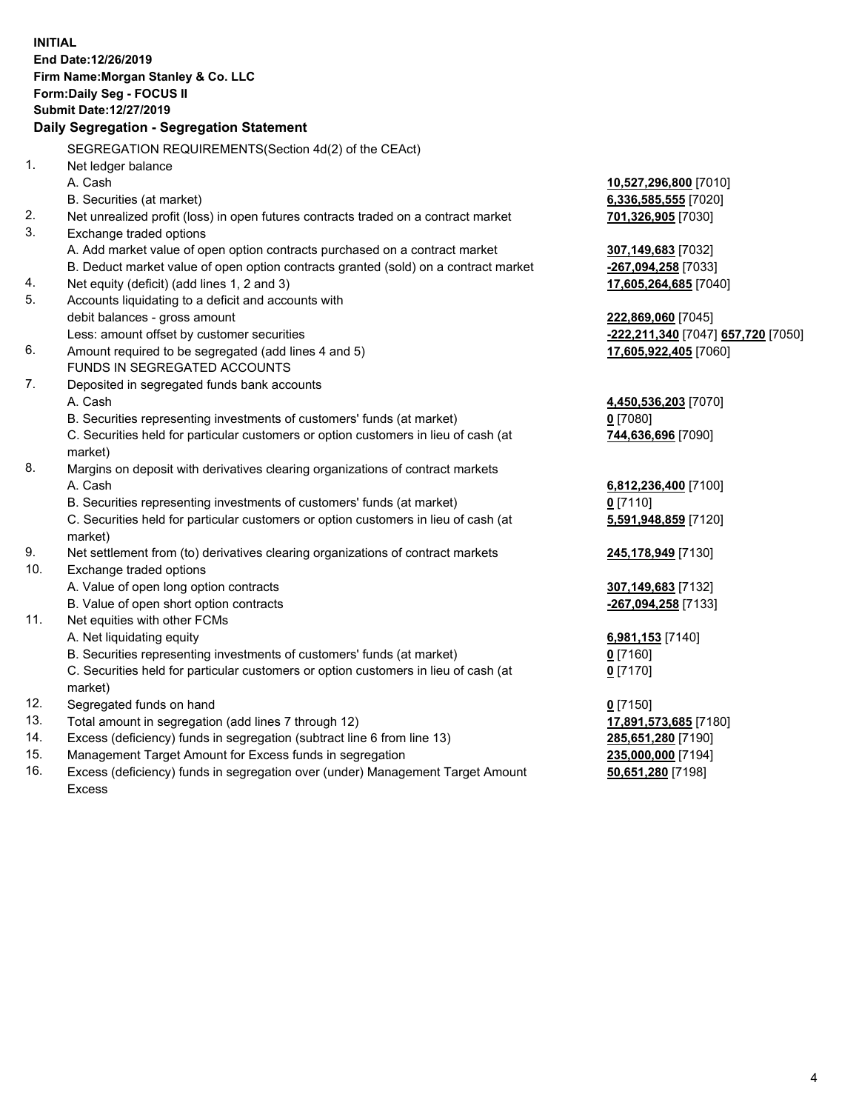**INITIAL End Date:12/26/2019 Firm Name:Morgan Stanley & Co. LLC Form:Daily Seg - FOCUS II Submit Date:12/27/2019 Daily Segregation - Segregation Statement** SEGREGATION REQUIREMENTS(Section 4d(2) of the CEAct) 1. Net ledger balance A. Cash **10,527,296,800** [7010] B. Securities (at market) **6,336,585,555** [7020] 2. Net unrealized profit (loss) in open futures contracts traded on a contract market **701,326,905** [7030] 3. Exchange traded options A. Add market value of open option contracts purchased on a contract market **307,149,683** [7032] B. Deduct market value of open option contracts granted (sold) on a contract market **-267,094,258** [7033] 4. Net equity (deficit) (add lines 1, 2 and 3) **17,605,264,685** [7040] 5. Accounts liquidating to a deficit and accounts with debit balances - gross amount **222,869,060** [7045] Less: amount offset by customer securities **-222,211,340** [7047] **657,720** [7050] 6. Amount required to be segregated (add lines 4 and 5) **17,605,922,405** [7060] FUNDS IN SEGREGATED ACCOUNTS 7. Deposited in segregated funds bank accounts A. Cash **4,450,536,203** [7070] B. Securities representing investments of customers' funds (at market) **0** [7080] C. Securities held for particular customers or option customers in lieu of cash (at market) **744,636,696** [7090] 8. Margins on deposit with derivatives clearing organizations of contract markets A. Cash **6,812,236,400** [7100] B. Securities representing investments of customers' funds (at market) **0** [7110] C. Securities held for particular customers or option customers in lieu of cash (at market) **5,591,948,859** [7120] 9. Net settlement from (to) derivatives clearing organizations of contract markets **245,178,949** [7130] 10. Exchange traded options A. Value of open long option contracts **307,149,683** [7132] B. Value of open short option contracts **-267,094,258** [7133] 11. Net equities with other FCMs A. Net liquidating equity **6,981,153** [7140] B. Securities representing investments of customers' funds (at market) **0** [7160] C. Securities held for particular customers or option customers in lieu of cash (at market) **0** [7170] 12. Segregated funds on hand **0** [7150] 13. Total amount in segregation (add lines 7 through 12) **17,891,573,685** [7180] 14. Excess (deficiency) funds in segregation (subtract line 6 from line 13) **285,651,280** [7190] 15. Management Target Amount for Excess funds in segregation **235,000,000** [7194]

16. Excess (deficiency) funds in segregation over (under) Management Target Amount Excess

**50,651,280** [7198]